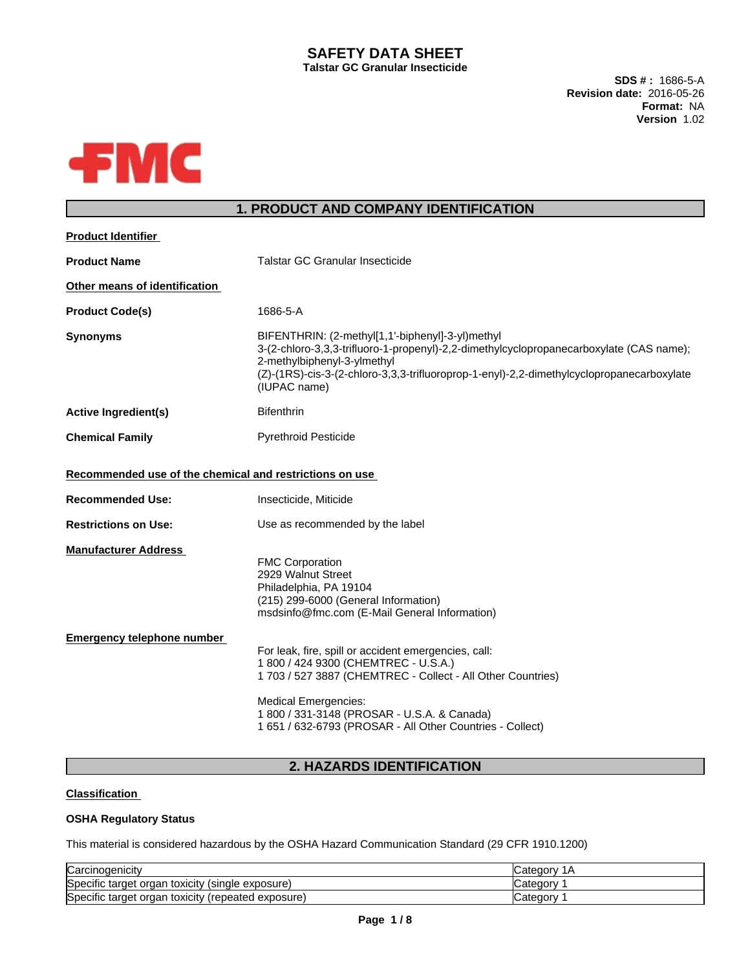## **SAFETY DATA SHEET Talstar GC Granular Insecticide**

**SDS # :** 1686-5-A **Revision date:** 2016-05-26 **Format:** NA **Version** 1.02



# **1. PRODUCT AND COMPANY IDENTIFICATION**

| <b>Product Identifier</b>                               |                                                                                                                                                                                                                                                                                                        |  |  |  |
|---------------------------------------------------------|--------------------------------------------------------------------------------------------------------------------------------------------------------------------------------------------------------------------------------------------------------------------------------------------------------|--|--|--|
| <b>Product Name</b>                                     | Talstar GC Granular Insecticide                                                                                                                                                                                                                                                                        |  |  |  |
| Other means of identification                           |                                                                                                                                                                                                                                                                                                        |  |  |  |
| <b>Product Code(s)</b>                                  | 1686-5-A                                                                                                                                                                                                                                                                                               |  |  |  |
| <b>Synonyms</b>                                         | BIFENTHRIN: (2-methyl[1,1'-biphenyl]-3-yl)methyl<br>3-(2-chloro-3,3,3-trifluoro-1-propenyl)-2,2-dimethylcyclopropanecarboxylate (CAS name);<br>2-methylbiphenyl-3-ylmethyl<br>(Z)-(1RS)-cis-3-(2-chloro-3,3,3-trifluoroprop-1-enyl)-2,2-dimethylcyclopropanecarboxylate<br>(IUPAC name)                |  |  |  |
| <b>Active Ingredient(s)</b>                             | <b>Bifenthrin</b>                                                                                                                                                                                                                                                                                      |  |  |  |
| <b>Chemical Family</b>                                  | <b>Pyrethroid Pesticide</b>                                                                                                                                                                                                                                                                            |  |  |  |
| Recommended use of the chemical and restrictions on use |                                                                                                                                                                                                                                                                                                        |  |  |  |
| <b>Recommended Use:</b>                                 | Insecticide, Miticide                                                                                                                                                                                                                                                                                  |  |  |  |
| <b>Restrictions on Use:</b>                             | Use as recommended by the label                                                                                                                                                                                                                                                                        |  |  |  |
| <b>Manufacturer Address</b>                             | <b>FMC Corporation</b><br>2929 Walnut Street<br>Philadelphia, PA 19104<br>(215) 299-6000 (General Information)<br>msdsinfo@fmc.com (E-Mail General Information)                                                                                                                                        |  |  |  |
| <b>Emergency telephone number</b>                       | For leak, fire, spill or accident emergencies, call:<br>1 800 / 424 9300 (CHEMTREC - U.S.A.)<br>1 703 / 527 3887 (CHEMTREC - Collect - All Other Countries)<br><b>Medical Emergencies:</b><br>1 800 / 331-3148 (PROSAR - U.S.A. & Canada)<br>1 651 / 632-6793 (PROSAR - All Other Countries - Collect) |  |  |  |
|                                                         |                                                                                                                                                                                                                                                                                                        |  |  |  |

# **2. HAZARDS IDENTIFICATION**

### **Classification**

### **OSHA Regulatory Status**

This material is considered hazardous by the OSHA Hazard Communication Standard (29 CFR 1910.1200)

| Carcinogenicity                                       | 1Α<br><b>Categor</b> |
|-------------------------------------------------------|----------------------|
| Specific target organ<br>toxicity (single exposure) ا | ∵ategorٽ             |
| Specific target organ toxicity (repeated exposure)    | ∵ategorٽ             |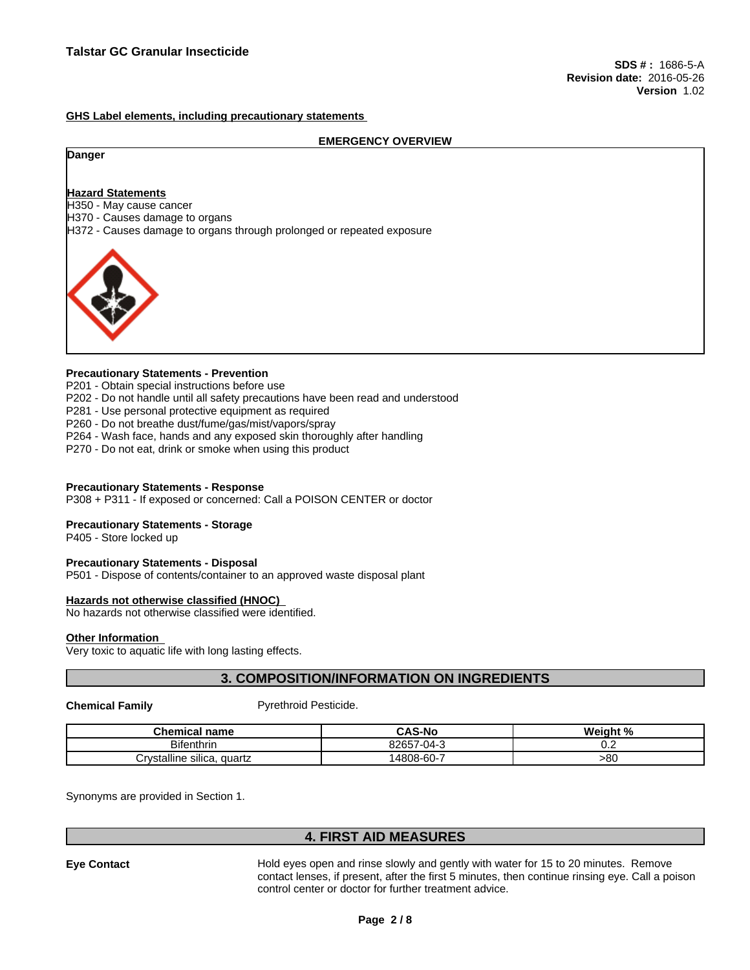**GHS Label elements, including precautionary statements**

#### **EMERGENCY OVERVIEW**

#### **Danger**

### **Hazard Statements**

H350 - May cause cancer

H370 - Causes damage to organs

H372 - Causes damage to organs through prolonged or repeated exposure



#### **Precautionary Statements - Prevention**

P201 - Obtain special instructions before use

- P202 Do not handle until all safety precautions have been read and understood
- P281 Use personal protective equipment as required
- P260 Do not breathe dust/fume/gas/mist/vapors/spray
- P264 Wash face, hands and any exposed skin thoroughly after handling
- P270 Do not eat, drink or smoke when using this product

#### **Precautionary Statements - Response**

P308 + P311 - If exposed or concerned: Call a POISON CENTER or doctor

#### **Precautionary Statements - Storage**

P405 - Store locked up

#### **Precautionary Statements - Disposal**

P501 - Dispose of contents/container to an approved waste disposal plant

#### **Hazards not otherwise classified (HNOC)**

No hazards not otherwise classified were identified.

#### **Other Information**

Very toxic to aquatic life with long lasting effects.

## **3. COMPOSITION/INFORMATION ON INGREDIENTS**

**Chemical Family Pyrethroid Pesticide.** 

| Chemical<br>l name                     | <b>CAS-No</b>                 | $\pm 0$<br><br>weiahı<br>70 |
|----------------------------------------|-------------------------------|-----------------------------|
| <b>Bifenthrin</b>                      | 000E7<br>$-04$<br>32657<br>۰. | v.c                         |
| <br>`rystalline silica,<br>quartz<br>◡ | 14808-60                      | -80                         |

Synonyms are provided in Section 1.

## **4. FIRST AID MEASURES**

**Eye Contact** Hold eyes open and rinse slowly and gently with water for 15 to 20 minutes. Remove contact lenses, if present, after the first 5 minutes, then continue rinsing eye. Call a poison control center or doctor for further treatment advice.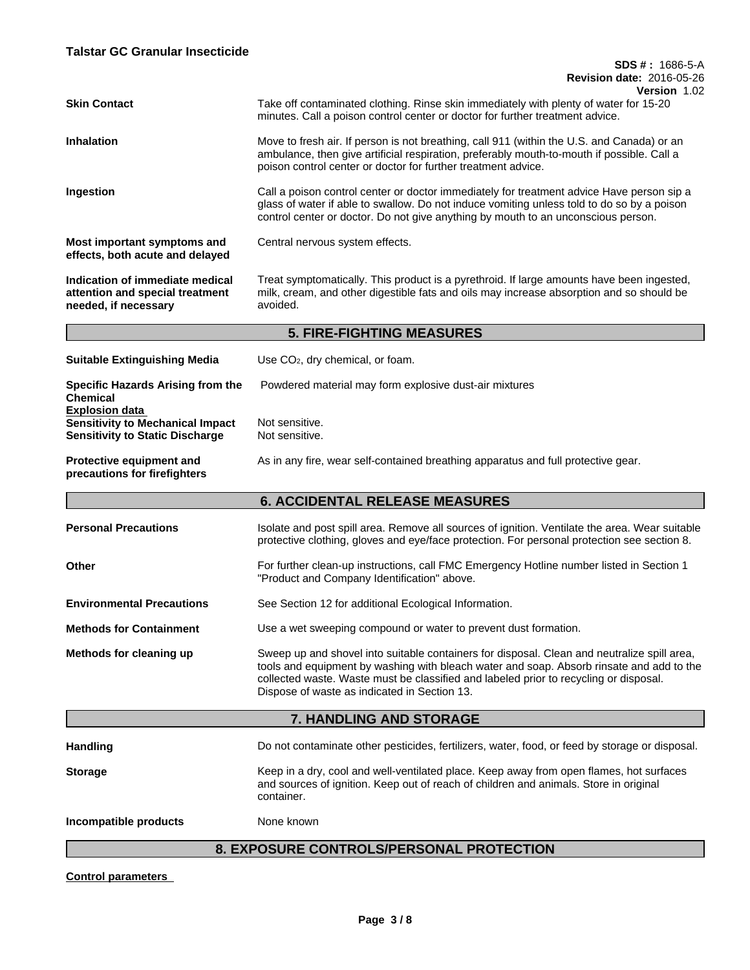| <b>Skin Contact</b>                                                                                        | VEISIUII 1.UZ<br>Take off contaminated clothing. Rinse skin immediately with plenty of water for 15-20<br>minutes. Call a poison control center or doctor for further treatment advice.                                                                                                                                          |  |  |  |
|------------------------------------------------------------------------------------------------------------|----------------------------------------------------------------------------------------------------------------------------------------------------------------------------------------------------------------------------------------------------------------------------------------------------------------------------------|--|--|--|
| <b>Inhalation</b>                                                                                          | Move to fresh air. If person is not breathing, call 911 (within the U.S. and Canada) or an<br>ambulance, then give artificial respiration, preferably mouth-to-mouth if possible. Call a<br>poison control center or doctor for further treatment advice.                                                                        |  |  |  |
| Ingestion                                                                                                  | Call a poison control center or doctor immediately for treatment advice Have person sip a<br>glass of water if able to swallow. Do not induce vomiting unless told to do so by a poison<br>control center or doctor. Do not give anything by mouth to an unconscious person.                                                     |  |  |  |
| Most important symptoms and<br>effects, both acute and delayed                                             | Central nervous system effects.                                                                                                                                                                                                                                                                                                  |  |  |  |
| Indication of immediate medical<br>attention and special treatment<br>needed, if necessary                 | Treat symptomatically. This product is a pyrethroid. If large amounts have been ingested,<br>milk, cream, and other digestible fats and oils may increase absorption and so should be<br>avoided.                                                                                                                                |  |  |  |
|                                                                                                            | <b>5. FIRE-FIGHTING MEASURES</b>                                                                                                                                                                                                                                                                                                 |  |  |  |
| <b>Suitable Extinguishing Media</b>                                                                        | Use CO <sub>2</sub> , dry chemical, or foam.                                                                                                                                                                                                                                                                                     |  |  |  |
| <b>Specific Hazards Arising from the</b><br>Chemical                                                       | Powdered material may form explosive dust-air mixtures                                                                                                                                                                                                                                                                           |  |  |  |
| <b>Explosion data</b><br><b>Sensitivity to Mechanical Impact</b><br><b>Sensitivity to Static Discharge</b> | Not sensitive.<br>Not sensitive.                                                                                                                                                                                                                                                                                                 |  |  |  |
| Protective equipment and<br>precautions for firefighters                                                   | As in any fire, wear self-contained breathing apparatus and full protective gear.                                                                                                                                                                                                                                                |  |  |  |
|                                                                                                            | <b>6. ACCIDENTAL RELEASE MEASURES</b>                                                                                                                                                                                                                                                                                            |  |  |  |
| <b>Personal Precautions</b>                                                                                | Isolate and post spill area. Remove all sources of ignition. Ventilate the area. Wear suitable<br>protective clothing, gloves and eye/face protection. For personal protection see section 8.                                                                                                                                    |  |  |  |
| Other                                                                                                      | For further clean-up instructions, call FMC Emergency Hotline number listed in Section 1<br>"Product and Company Identification" above.                                                                                                                                                                                          |  |  |  |
| <b>Environmental Precautions</b>                                                                           | See Section 12 for additional Ecological Information.                                                                                                                                                                                                                                                                            |  |  |  |
| <b>Methods for Containment</b>                                                                             | Use a wet sweeping compound or water to prevent dust formation.                                                                                                                                                                                                                                                                  |  |  |  |
| Methods for cleaning up                                                                                    | Sweep up and shovel into suitable containers for disposal. Clean and neutralize spill area,<br>tools and equipment by washing with bleach water and soap. Absorb rinsate and add to the<br>collected waste. Waste must be classified and labeled prior to recycling or disposal.<br>Dispose of waste as indicated in Section 13. |  |  |  |
|                                                                                                            | 7. HANDLING AND STORAGE                                                                                                                                                                                                                                                                                                          |  |  |  |
| <b>Handling</b>                                                                                            | Do not contaminate other pesticides, fertilizers, water, food, or feed by storage or disposal.                                                                                                                                                                                                                                   |  |  |  |
| <b>Storage</b>                                                                                             | Keep in a dry, cool and well-ventilated place. Keep away from open flames, hot surfaces<br>and sources of ignition. Keep out of reach of children and animals. Store in original<br>container.                                                                                                                                   |  |  |  |
| Incompatible products                                                                                      | None known                                                                                                                                                                                                                                                                                                                       |  |  |  |
|                                                                                                            |                                                                                                                                                                                                                                                                                                                                  |  |  |  |

# **8. EXPOSURE CONTROLS/PERSONAL PROTECTION**

**Control parameters**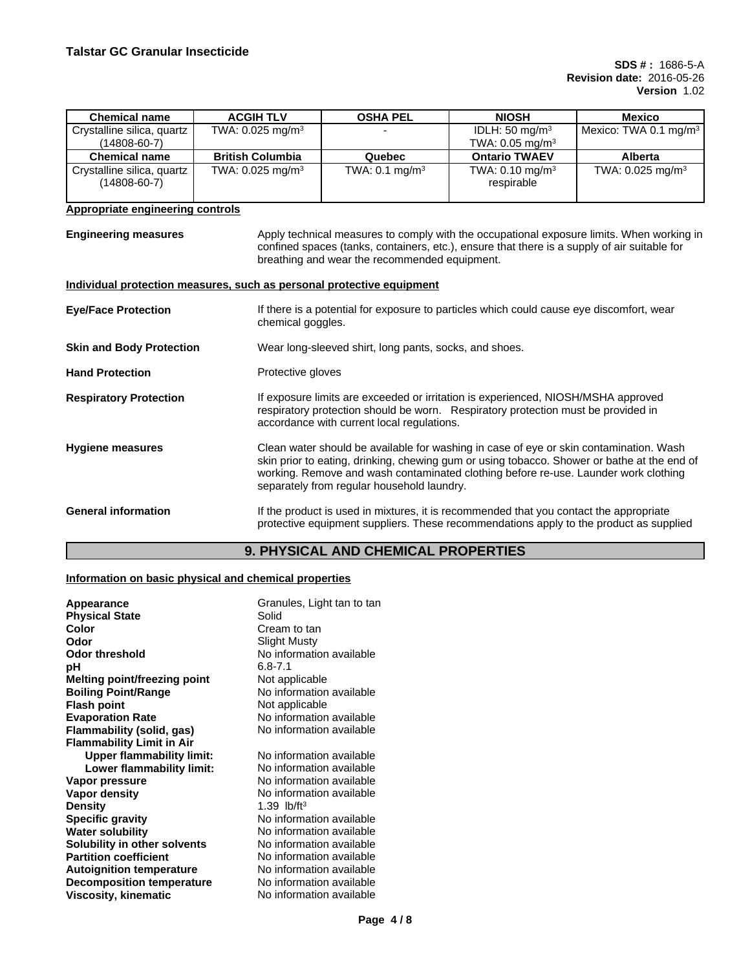| <b>Chemical name</b>                       | <b>ACGIH TLV</b>               | <b>OSHA PEL</b>           | <b>NIOSH</b>                             | <b>Mexico</b>                     |
|--------------------------------------------|--------------------------------|---------------------------|------------------------------------------|-----------------------------------|
| Crystalline silica, quartz                 | TWA: $0.025$ mg/m <sup>3</sup> |                           | IDLH: $50 \text{ mg/m}^3$                | Mexico: TWA 0.1 mg/m <sup>3</sup> |
| (14808-60-7)                               |                                |                           | TWA: $0.05$ mg/m <sup>3</sup>            |                                   |
| <b>Chemical name</b>                       | <b>British Columbia</b>        | Quebec                    | <b>Ontario TWAEV</b>                     | <b>Alberta</b>                    |
| Crystalline silica, quartz<br>(14808-60-7) | TWA: $0.025$ mg/m <sup>3</sup> | TWA: $0.1 \text{ mg/m}^3$ | TWA: $0.10 \text{ mg/m}^3$<br>respirable | TWA: $0.025$ mg/m <sup>3</sup>    |

## **Appropriate engineering controls**

**Engineering measures** Apply technical measures to comply with the occupational exposure limits. When working in confined spaces (tanks, containers, etc.), ensure that there is a supply of air suitable for breathing and wear the recommended equipment.

#### **Individual protection measures, such as personal protective equipment**

| <b>Eye/Face Protection</b>      | If there is a potential for exposure to particles which could cause eye discomfort, wear<br>chemical goggles.                                                                                                                                                                                                              |
|---------------------------------|----------------------------------------------------------------------------------------------------------------------------------------------------------------------------------------------------------------------------------------------------------------------------------------------------------------------------|
| <b>Skin and Body Protection</b> | Wear long-sleeved shirt, long pants, socks, and shoes.                                                                                                                                                                                                                                                                     |
| <b>Hand Protection</b>          | Protective gloves                                                                                                                                                                                                                                                                                                          |
| <b>Respiratory Protection</b>   | If exposure limits are exceeded or irritation is experienced, NIOSH/MSHA approved<br>respiratory protection should be worn. Respiratory protection must be provided in<br>accordance with current local regulations.                                                                                                       |
| <b>Hygiene measures</b>         | Clean water should be available for washing in case of eye or skin contamination. Wash<br>skin prior to eating, drinking, chewing gum or using tobacco. Shower or bathe at the end of<br>working. Remove and wash contaminated clothing before re-use. Launder work clothing<br>separately from regular household laundry. |
| <b>General information</b>      | If the product is used in mixtures, it is recommended that you contact the appropriate<br>protective equipment suppliers. These recommendations apply to the product as supplied                                                                                                                                           |

# **9. PHYSICAL AND CHEMICAL PROPERTIES**

#### **Information on basic physical and chemical properties**

| Appearance                       | Granules, Light tan to tan |
|----------------------------------|----------------------------|
| <b>Physical State</b>            | Solid                      |
| Color                            | Cream to tan               |
| Odor                             | <b>Slight Musty</b>        |
| <b>Odor threshold</b>            | No information available   |
| рH                               | $6.8 - 7.1$                |
| Melting point/freezing point     | Not applicable             |
| <b>Boiling Point/Range</b>       | No information available   |
| <b>Flash point</b>               | Not applicable             |
| <b>Evaporation Rate</b>          | No information available   |
| Flammability (solid, gas)        | No information available   |
| <b>Flammability Limit in Air</b> |                            |
| <b>Upper flammability limit:</b> | No information available   |
| Lower flammability limit:        | No information available   |
| Vapor pressure                   | No information available   |
| Vapor density                    | No information available   |
| <b>Density</b>                   | 1.39 $lb/ft^3$             |
| <b>Specific gravity</b>          | No information available   |
| <b>Water solubility</b>          | No information available   |
| Solubility in other solvents     | No information available   |
| <b>Partition coefficient</b>     | No information available   |
| <b>Autoignition temperature</b>  | No information available   |
| <b>Decomposition temperature</b> | No information available   |
| <b>Viscosity, kinematic</b>      | No information available   |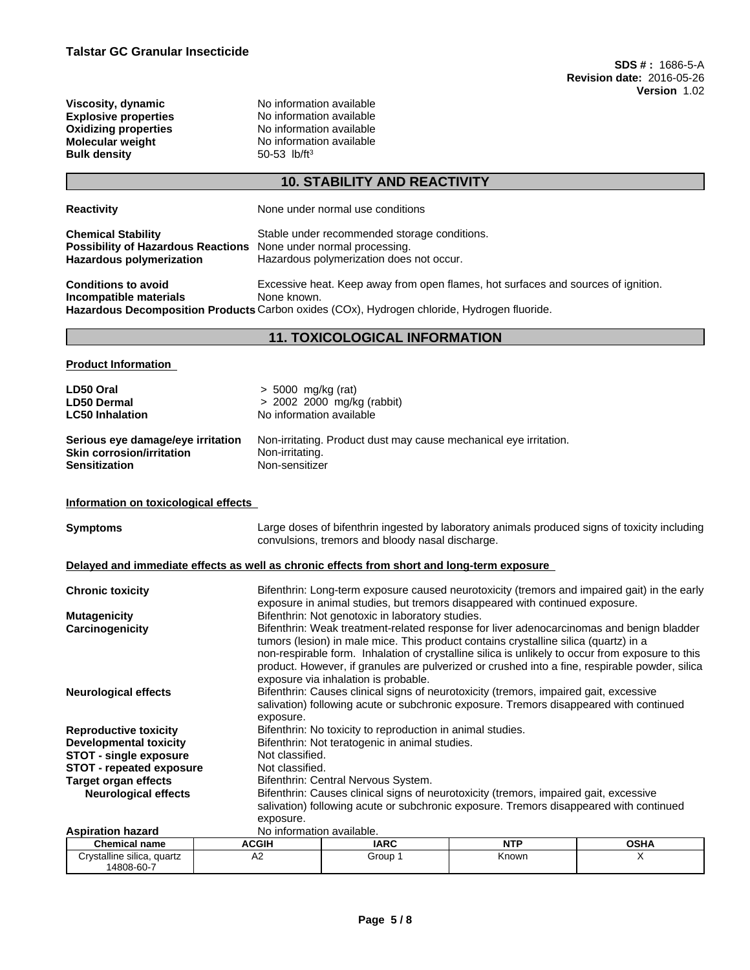**Bulk density** 

**Viscosity, dynamic** No information available<br> **Explosive properties**<br>
No information available **Explosive properties** No information available<br> **Oxidizing properties** No information available **Oxidizing properties** No information available<br> **Molecular weight** No information available No information available<br>50-53 lb/ft<sup>3</sup>

# **10. STABILITY AND REACTIVITY**

| <b>Reactivity</b>                                                | None under normal use conditions                                                                             |  |  |  |
|------------------------------------------------------------------|--------------------------------------------------------------------------------------------------------------|--|--|--|
| <b>Chemical Stability</b>                                        | Stable under recommended storage conditions.                                                                 |  |  |  |
| Possibility of Hazardous Reactions None under normal processing. |                                                                                                              |  |  |  |
| Hazardous polymerization                                         | Hazardous polymerization does not occur.                                                                     |  |  |  |
| <b>Conditions to avoid</b>                                       |                                                                                                              |  |  |  |
| Incompatible materials                                           | Excessive heat. Keep away from open flames, hot surfaces and sources of ignition.<br>None known.             |  |  |  |
|                                                                  | Hazardous Decomposition Products Carbon oxides (COx), Hydrogen chloride, Hydrogen fluoride.                  |  |  |  |
|                                                                  |                                                                                                              |  |  |  |
|                                                                  | <b>11. TOXICOLOGICAL INFORMATION</b>                                                                         |  |  |  |
| <b>Product Information</b>                                       |                                                                                                              |  |  |  |
| LD50 Oral                                                        | > 5000 mg/kg (rat)                                                                                           |  |  |  |
| <b>LD50 Dermal</b>                                               | > 2002 2000 mg/kg (rabbit)                                                                                   |  |  |  |
| <b>LC50 Inhalation</b>                                           | No information available                                                                                     |  |  |  |
| Serious eye damage/eye irritation                                | Non-irritating. Product dust may cause mechanical eye irritation.                                            |  |  |  |
| <b>Skin corrosion/irritation</b>                                 | Non-irritating.                                                                                              |  |  |  |
| <b>Sensitization</b>                                             | Non-sensitizer                                                                                               |  |  |  |
|                                                                  |                                                                                                              |  |  |  |
| Information on toxicological effects                             |                                                                                                              |  |  |  |
| <b>Symptoms</b>                                                  | Large doses of bifenthrin ingested by laboratory animals produced signs of toxicity including                |  |  |  |
|                                                                  | convulsions, tremors and bloody nasal discharge.                                                             |  |  |  |
|                                                                  | Delayed and immediate effects as well as chronic effects from short and long-term exposure                   |  |  |  |
| <b>Chronic toxicity</b>                                          | Bifenthrin: Long-term exposure caused neurotoxicity (tremors and impaired gait) in the early                 |  |  |  |
|                                                                  | exposure in animal studies, but tremors disappeared with continued exposure.                                 |  |  |  |
| <b>Mutagenicity</b>                                              | Bifenthrin: Not genotoxic in laboratory studies.                                                             |  |  |  |
| Carcinogenicity                                                  | Bifenthrin: Weak treatment-related response for liver adenocarcinomas and benign bladder                     |  |  |  |
|                                                                  | tumors (lesion) in male mice. This product contains crystalline silica (quartz) in a                         |  |  |  |
|                                                                  | non-respirable form. Inhalation of crystalline silica is unlikely to occur from exposure to this             |  |  |  |
|                                                                  | product. However, if granules are pulverized or crushed into a fine, respirable powder, silica               |  |  |  |
|                                                                  | exposure via inhalation is probable.                                                                         |  |  |  |
| <b>Neurological effects</b>                                      | Bifenthrin: Causes clinical signs of neurotoxicity (tremors, impaired gait, excessive                        |  |  |  |
|                                                                  | salivation) following acute or subchronic exposure. Tremors disappeared with continued                       |  |  |  |
|                                                                  | exposure.                                                                                                    |  |  |  |
| <b>Reproductive toxicity</b>                                     | Bifenthrin: No toxicity to reproduction in animal studies.<br>Bifenthrin: Not teratogenic in animal studies. |  |  |  |
| <b>Developmental toxicity</b><br><b>STOT - single exposure</b>   | Not classified.                                                                                              |  |  |  |
| <b>STOT - repeated exposure</b>                                  | Not classified.                                                                                              |  |  |  |
| <b>Target organ effects</b>                                      | Bifenthrin: Central Nervous System.                                                                          |  |  |  |
|                                                                  |                                                                                                              |  |  |  |

**Neurological effects** Bifenthrin: Causes clinical signs of neurotoxicity (tremors, impaired gait, excessive

exposure. **Aspiration hazard** No information available.

| <b>Chemical name</b>       | <b>ACGIH</b> | <b>IARC</b> | NT'<br>. | 0.0118<br>א⊓כּטי |
|----------------------------|--------------|-------------|----------|------------------|
| Crystalline silica, quartz | ∼            | Group       | Known    |                  |
| 14808-60-7                 |              |             |          |                  |

salivation) following acute or subchronic exposure. Tremors disappeared with continued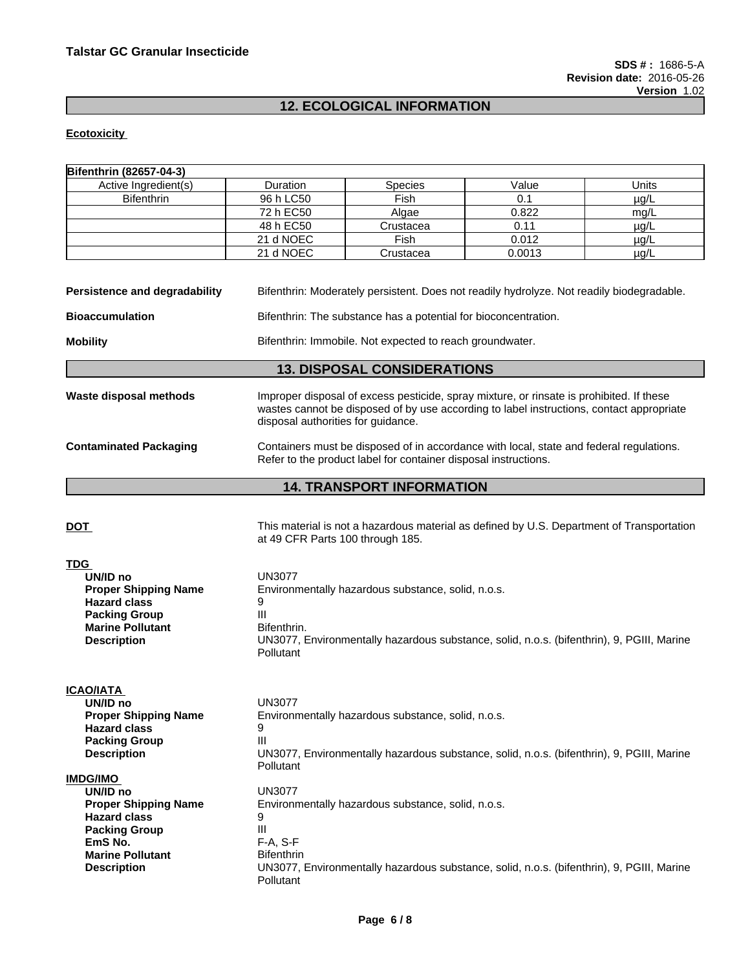# **12. ECOLOGICAL INFORMATION**

## **Ecotoxicity**

| Bifenthrin (82657-04-3)                                                                                                                                               |                                                                       |                                                                                                                                                                                      |        |           |
|-----------------------------------------------------------------------------------------------------------------------------------------------------------------------|-----------------------------------------------------------------------|--------------------------------------------------------------------------------------------------------------------------------------------------------------------------------------|--------|-----------|
| Active Ingredient(s)                                                                                                                                                  | Duration                                                              | Species                                                                                                                                                                              | Value  | Units     |
| <b>Bifenthrin</b>                                                                                                                                                     | 96 h LC50                                                             | Fish                                                                                                                                                                                 | 0.1    | $\mu$ g/L |
|                                                                                                                                                                       | 72 h EC50                                                             | Algae                                                                                                                                                                                | 0.822  | mg/L      |
|                                                                                                                                                                       | 48 h EC50                                                             | Crustacea                                                                                                                                                                            | 0.11   | $\mu$ g/L |
|                                                                                                                                                                       | 21 d NOEC                                                             | Fish                                                                                                                                                                                 | 0.012  | $\mu$ g/L |
|                                                                                                                                                                       | 21 d NOEC                                                             | Crustacea                                                                                                                                                                            | 0.0013 | $\mu$ g/L |
|                                                                                                                                                                       |                                                                       |                                                                                                                                                                                      |        |           |
| <b>Persistence and degradability</b>                                                                                                                                  |                                                                       | Bifenthrin: Moderately persistent. Does not readily hydrolyze. Not readily biodegradable.                                                                                            |        |           |
| <b>Bioaccumulation</b>                                                                                                                                                |                                                                       | Bifenthrin: The substance has a potential for bioconcentration.                                                                                                                      |        |           |
| <b>Mobility</b>                                                                                                                                                       |                                                                       | Bifenthrin: Immobile. Not expected to reach groundwater.                                                                                                                             |        |           |
|                                                                                                                                                                       |                                                                       | <b>13. DISPOSAL CONSIDERATIONS</b>                                                                                                                                                   |        |           |
| Waste disposal methods                                                                                                                                                | disposal authorities for guidance.                                    | Improper disposal of excess pesticide, spray mixture, or rinsate is prohibited. If these<br>wastes cannot be disposed of by use according to label instructions, contact appropriate |        |           |
| <b>Contaminated Packaging</b>                                                                                                                                         |                                                                       | Containers must be disposed of in accordance with local, state and federal regulations.<br>Refer to the product label for container disposal instructions.                           |        |           |
|                                                                                                                                                                       |                                                                       | <b>14. TRANSPORT INFORMATION</b>                                                                                                                                                     |        |           |
| <u>DOT</u>                                                                                                                                                            | at 49 CFR Parts 100 through 185.                                      | This material is not a hazardous material as defined by U.S. Department of Transportation                                                                                            |        |           |
| <b>TDG</b><br>UN/ID no<br><b>Proper Shipping Name</b><br><b>Hazard class</b><br><b>Packing Group</b><br><b>Marine Pollutant</b><br><b>Description</b>                 | <b>UN3077</b><br>9<br>III<br>Bifenthrin.<br>Pollutant                 | Environmentally hazardous substance, solid, n.o.s.<br>UN3077, Environmentally hazardous substance, solid, n.o.s. (bifenthrin), 9, PGIII, Marine                                      |        |           |
| <u>ICAO/IATA</u><br>UN/ID no<br><b>Proper Shipping Name</b><br><b>Hazard class</b><br><b>Packing Group</b><br><b>Description</b>                                      | <b>UN3077</b><br>9<br>Ш<br>Pollutant                                  | Environmentally hazardous substance, solid, n.o.s.<br>UN3077, Environmentally hazardous substance, solid, n.o.s. (bifenthrin), 9, PGIII, Marine                                      |        |           |
| <b>IMDG/IMO</b><br>UN/ID no<br><b>Proper Shipping Name</b><br><b>Hazard class</b><br><b>Packing Group</b><br>EmS No.<br><b>Marine Pollutant</b><br><b>Description</b> | <b>UN3077</b><br>9<br>Ш<br>F-A, S-F<br><b>Bifenthrin</b><br>Pollutant | Environmentally hazardous substance, solid, n.o.s.<br>UN3077, Environmentally hazardous substance, solid, n.o.s. (bifenthrin), 9, PGIII, Marine                                      |        |           |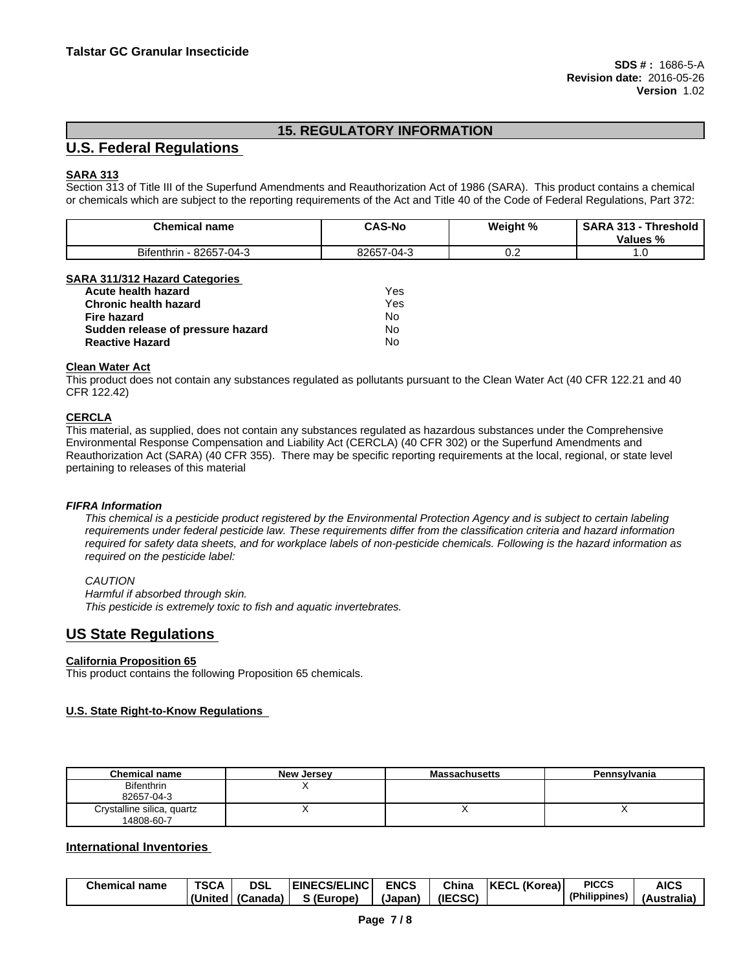# **15. REGULATORY INFORMATION**

# **U.S. Federal Regulations**

## **SARA 313**

Section 313 of Title III of the Superfund Amendments and Reauthorization Act of 1986 (SARA). This product contains a chemical or chemicals which are subject to the reporting requirements of the Act and Title 40 of the Code of Federal Regulations, Part 372:

| <b>Chemical name</b>                                    | <b>CAS-No</b>                       | Weight % | <b>SARA</b><br><b>Threshold</b><br>313<br>Values % |
|---------------------------------------------------------|-------------------------------------|----------|----------------------------------------------------|
| - -<br>8265<br>$-04-3$<br><b>B</b> itenthrin<br>$\cdot$ | 82657-<br>$\sim$ $\sim$<br>·U4<br>. | v.z      | $\cdots$                                           |

#### **SARA 311/312 Hazard Categories**

| Acute health hazard               | Yes |
|-----------------------------------|-----|
| <b>Chronic health hazard</b>      | Yes |
| Fire hazard                       | No  |
| Sudden release of pressure hazard | No  |
| <b>Reactive Hazard</b>            | No  |

#### **Clean Water Act**

This product does not contain any substances regulated as pollutants pursuant to the Clean Water Act (40 CFR 122.21 and 40 CFR 122.42)

#### **CERCLA**

This material, as supplied, does not contain any substances regulated as hazardous substances under the Comprehensive Environmental Response Compensation and Liability Act (CERCLA) (40 CFR 302) or the Superfund Amendments and Reauthorization Act (SARA) (40 CFR 355). There may be specific reporting requirements at the local, regional, or state level pertaining to releases of this material

#### *FIFRA Information*

This chemical is a pesticide product registered by the Environmental Protection Agency and is subject to certain labeling requirements under federal pesticide law. These requirements differ from the classification criteria and hazard information required for safety data sheets, and for workplace labels of non-pesticide chemicals. Following is the hazard information as *required on the pesticide label:*

#### *CAUTION*

*Harmful if absorbed through skin. This pesticide is extremely toxic to fish and aquatic invertebrates.*

# **US State Regulations**

#### **California Proposition 65**

This product contains the following Proposition 65 chemicals.

#### **U.S. State Right-to-Know Regulations**

| <b>Chemical name</b>       | <b>New Jersey</b> | <b>Massachusetts</b> | Pennsylvania |
|----------------------------|-------------------|----------------------|--------------|
| <b>Bifenthrin</b>          |                   |                      |              |
| 82657-04-3                 |                   |                      |              |
| Crystalline silica, quartz |                   |                      |              |
| 14808-60-7                 |                   |                      |              |

## **International Inventories**

| <b>Chemical name</b> | <b>TSCA</b> | <b>DSI</b> | <b>ECS/ELINC</b><br>:INF( | <b>ENCS</b> | Chin <sub>c</sub> | <b>KECL</b><br>(Korea) | <b>PICCS</b>  | <b>AICS</b>             |
|----------------------|-------------|------------|---------------------------|-------------|-------------------|------------------------|---------------|-------------------------|
|                      | (United     | l (Canada) | - IF<br>Europe)           | (Japan      | (IECSC)           |                        | (Philippines) | . .<br>ustralia)<br>(AL |